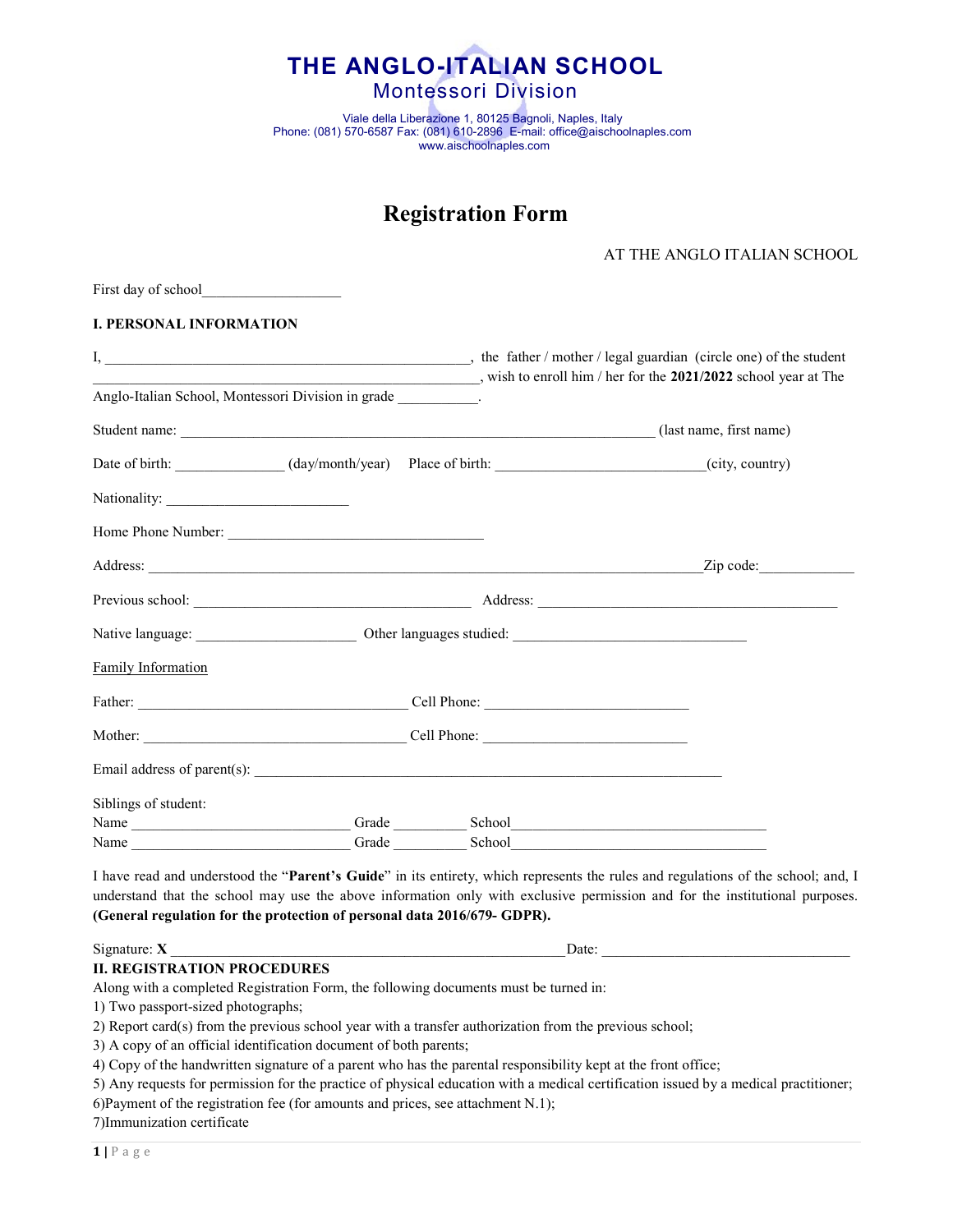

Viale della Liberazione 1, 80125 Bagnoli, Naples, Italy Phone: (081) 570-6587 Fax: (081) 610-2896 E-mail: office@aischoolnaples.com www.aischoolnaples.com

# Registration Form

| AT THE ANGLO ITALIAN SCHOOL |
|-----------------------------|
|-----------------------------|

# I. PERSONAL INFORMATION

First day of school

|                                                                 |       |       |        | wish to enroll him / her for the 2021/2022 school year at The   |
|-----------------------------------------------------------------|-------|-------|--------|-----------------------------------------------------------------|
| Anglo-Italian School, Montessori Division in grade ___________. |       |       |        |                                                                 |
|                                                                 |       |       |        | Student name: (last name, first name) (last name, first name)   |
|                                                                 |       |       |        | Date of birth: (day/month/year) Place of birth: (city, country) |
|                                                                 |       |       |        |                                                                 |
|                                                                 |       |       |        |                                                                 |
|                                                                 |       |       |        |                                                                 |
|                                                                 |       |       |        |                                                                 |
|                                                                 |       |       |        |                                                                 |
| Family Information                                              |       |       |        |                                                                 |
|                                                                 |       |       |        |                                                                 |
|                                                                 |       |       |        |                                                                 |
|                                                                 |       |       |        |                                                                 |
| Siblings of student:                                            |       |       |        |                                                                 |
| Name                                                            |       | Grade |        | School                                                          |
| Name                                                            | Grade |       | School |                                                                 |

I have read and understood the "Parent's Guide" in its entirety, which represents the rules and regulations of the school; and, I understand that the school may use the above information only with exclusive permission and for the institutional purposes. (General regulation for the protection of personal data 2016/679- GDPR).

Signature:  $X$  Date:

## II. REGISTRATION PROCEDURES

Along with a completed Registration Form, the following documents must be turned in:

1) Two passport-sized photographs;

2) Report card(s) from the previous school year with a transfer authorization from the previous school;

3) A copy of an official identification document of both parents;

4) Copy of the handwritten signature of a parent who has the parental responsibility kept at the front office;

5) Any requests for permission for the practice of physical education with a medical certification issued by a medical practitioner;

6)Payment of the registration fee (for amounts and prices, see attachment N.1);

7)Immunization certificate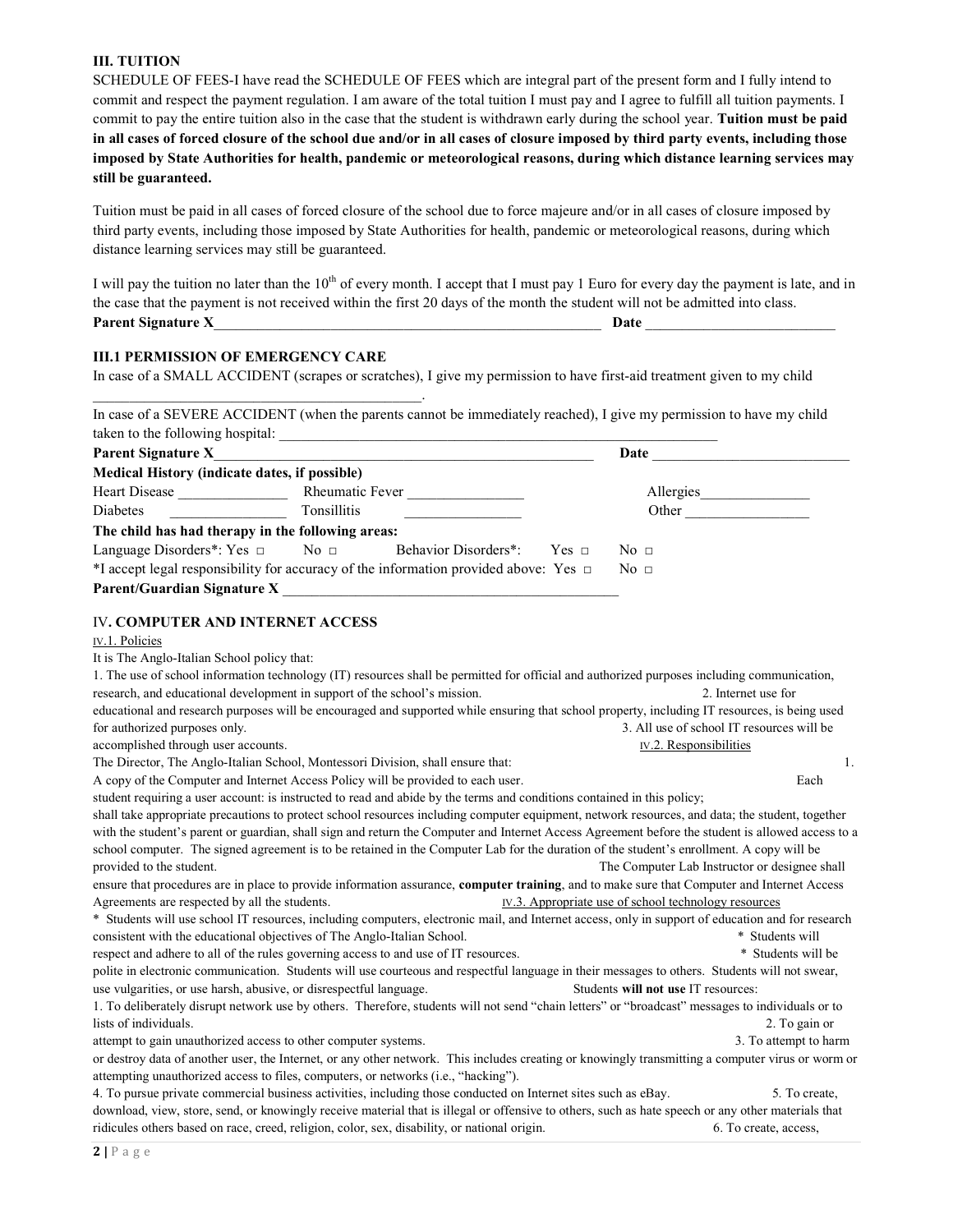### III. TUITION

SCHEDULE OF FEES-I have read the SCHEDULE OF FEES which are integral part of the present form and I fully intend to commit and respect the payment regulation. I am aware of the total tuition I must pay and I agree to fulfill all tuition payments. I commit to pay the entire tuition also in the case that the student is withdrawn early during the school year. Tuition must be paid in all cases of forced closure of the school due and/or in all cases of closure imposed by third party events, including those imposed by State Authorities for health, pandemic or meteorological reasons, during which distance learning services may still be guaranteed.

Tuition must be paid in all cases of forced closure of the school due to force majeure and/or in all cases of closure imposed by third party events, including those imposed by State Authorities for health, pandemic or meteorological reasons, during which distance learning services may still be guaranteed.

| I will pay the tuition no later than the $10^{th}$ of every month. I accept that I must pay 1 Euro for every day the payment is late, and in |      |
|----------------------------------------------------------------------------------------------------------------------------------------------|------|
| the case that the payment is not received within the first 20 days of the month the student will not be admitted into class.                 |      |
| <b>Parent Signature X</b>                                                                                                                    | Date |

#### III.1 PERMISSION OF EMERGENCY CARE

 $\mathcal{L}_\text{max} = \mathcal{L}_\text{max} = \mathcal{L}_\text{max} = \mathcal{L}_\text{max} = \mathcal{L}_\text{max} = \mathcal{L}_\text{max}$ 

In case of a SMALL ACCIDENT (scrapes or scratches), I give my permission to have first-aid treatment given to my child

In case of a SEVERE ACCIDENT (when the parents cannot be immediately reached), I give my permission to have my child taken to the following hospital:

| <b>Parent Signature X</b>                                                                 |                        |                                 | Date                                         |  |
|-------------------------------------------------------------------------------------------|------------------------|---------------------------------|----------------------------------------------|--|
| Medical History (indicate dates, if possible)                                             |                        |                                 |                                              |  |
| Heart Disease                                                                             | <b>Rheumatic Fever</b> |                                 | Allergies                                    |  |
| <b>Diabetes</b>                                                                           | <b>Tonsillitis</b>     |                                 | Other                                        |  |
| The child has had therapy in the following areas:                                         |                        |                                 |                                              |  |
| Language Disorders <sup>*</sup> : Yes $\Box$ No $\Box$                                    |                        | Behavior Disorders*: Yes $\Box$ | $\overline{N}$ $\overline{O}$ $\overline{O}$ |  |
| *I accept legal responsibility for accuracy of the information provided above: Yes $\Box$ |                        |                                 | No <sub>1</sub>                              |  |
| Parent/Guardian Signature X                                                               |                        |                                 |                                              |  |

#### IV. COMPUTER AND INTERNET ACCESS

#### IV.1. Policies

#### It is The Anglo-Italian School policy that:

| 1. The use of school information technology (IT) resources shall be permitted for official and authorized purposes including communication,        |                                                      |
|----------------------------------------------------------------------------------------------------------------------------------------------------|------------------------------------------------------|
| research, and educational development in support of the school's mission.                                                                          | 2. Internet use for                                  |
| educational and research purposes will be encouraged and supported while ensuring that school property, including IT resources, is being used      |                                                      |
| for authorized purposes only.                                                                                                                      | 3. All use of school IT resources will be            |
| accomplished through user accounts.                                                                                                                | IV.2. Responsibilities                               |
| The Director, The Anglo-Italian School, Montessori Division, shall ensure that:                                                                    | 1.                                                   |
| A copy of the Computer and Internet Access Policy will be provided to each user.                                                                   | Each                                                 |
| student requiring a user account: is instructed to read and abide by the terms and conditions contained in this policy;                            |                                                      |
| shall take appropriate precautions to protect school resources including computer equipment, network resources, and data; the student, together    |                                                      |
| with the student's parent or guardian, shall sign and return the Computer and Internet Access Agreement before the student is allowed access to a  |                                                      |
| school computer. The signed agreement is to be retained in the Computer Lab for the duration of the student's enrollment. A copy will be           |                                                      |
| provided to the student.                                                                                                                           | The Computer Lab Instructor or designee shall        |
| ensure that procedures are in place to provide information assurance, computer training, and to make sure that Computer and Internet Access        |                                                      |
| Agreements are respected by all the students.                                                                                                      | IV.3. Appropriate use of school technology resources |
| * Students will use school IT resources, including computers, electronic mail, and Internet access, only in support of education and for research  |                                                      |
| consistent with the educational objectives of The Anglo-Italian School.                                                                            | * Students will                                      |
| respect and adhere to all of the rules governing access to and use of IT resources.                                                                | * Students will be                                   |
| polite in electronic communication. Students will use courteous and respectful language in their messages to others. Students will not swear,      |                                                      |
| use vulgarities, or use harsh, abusive, or disrespectful language.                                                                                 | Students will not use IT resources:                  |
| 1. To deliberately disrupt network use by others. Therefore, students will not send "chain letters" or "broadcast" messages to individuals or to   |                                                      |
| lists of individuals.                                                                                                                              | 2. To gain or                                        |
| attempt to gain unauthorized access to other computer systems.                                                                                     | 3. To attempt to harm                                |
| or destroy data of another user, the Internet, or any other network. This includes creating or knowingly transmitting a computer virus or worm or  |                                                      |
| attempting unauthorized access to files, computers, or networks (i.e., "hacking").                                                                 |                                                      |
| 4. To pursue private commercial business activities, including those conducted on Internet sites such as eBay.                                     | 5. To create,                                        |
| download, view, store, send, or knowingly receive material that is illegal or offensive to others, such as hate speech or any other materials that |                                                      |
| ridicules others based on race, creed, religion, color, sex, disability, or national origin.                                                       | 6. To create, access,                                |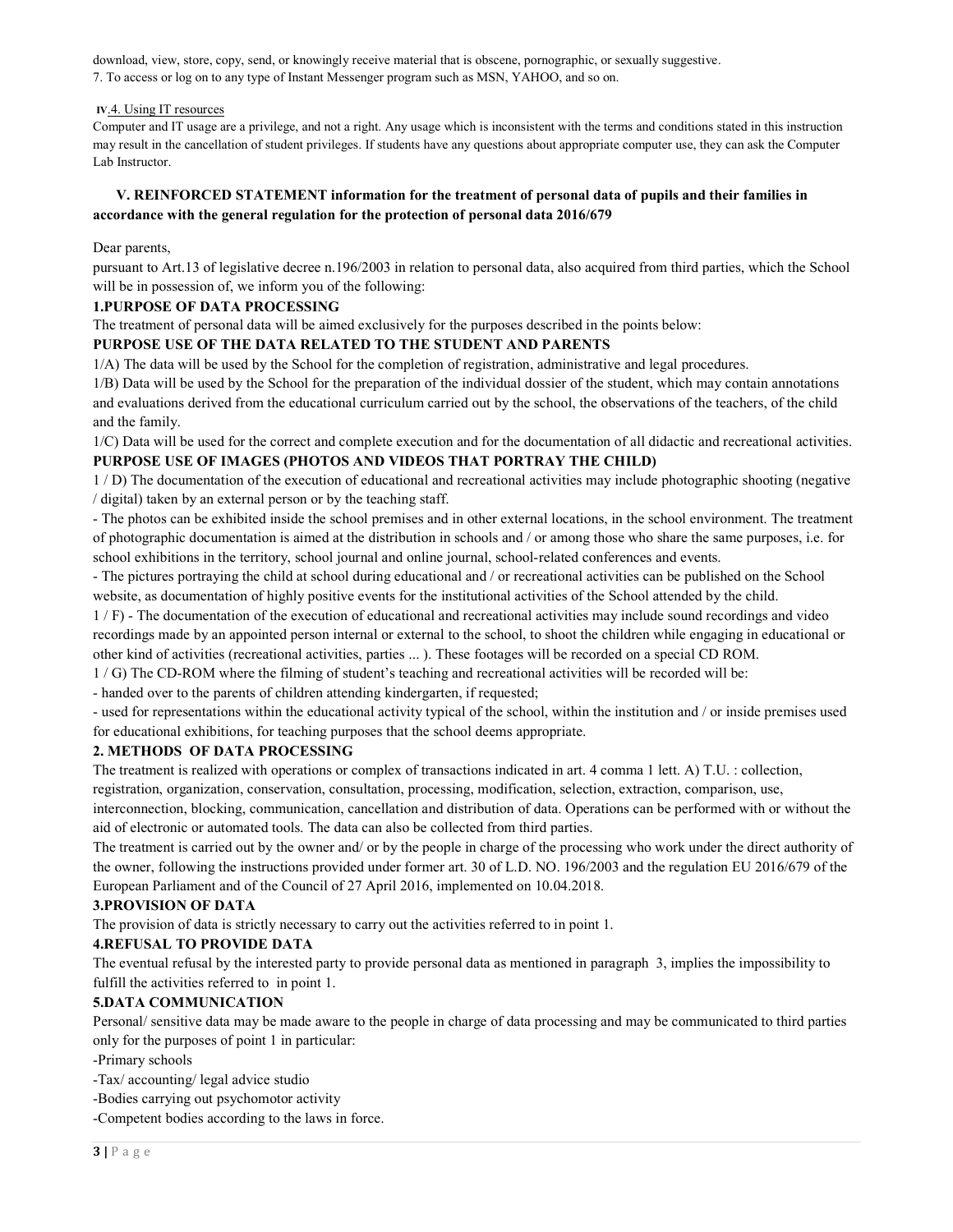download, view, store, copy, send, or knowingly receive material that is obscene, pornographic, or sexually suggestive. 7. To access or log on to any type of Instant Messenger program such as MSN, YAHOO, and so on.

#### IV.4. Using IT resources

Computer and IT usage are a privilege, and not a right. Any usage which is inconsistent with the terms and conditions stated in this instruction may result in the cancellation of student privileges. If students have any questions about appropriate computer use, they can ask the Computer Lab Instructor.

## V. REINFORCED STATEMENT information for the treatment of personal data of pupils and their families in accordance with the general regulation for the protection of personal data 2016/679

Dear parents,

pursuant to Art.13 of legislative decree n.196/2003 in relation to personal data, also acquired from third parties, which the School will be in possession of, we inform you of the following:

#### 1.PURPOSE OF DATA PROCESSING

The treatment of personal data will be aimed exclusively for the purposes described in the points below:

## PURPOSE USE OF THE DATA RELATED TO THE STUDENT AND PARENTS

1/A) The data will be used by the School for the completion of registration, administrative and legal procedures.

1/B) Data will be used by the School for the preparation of the individual dossier of the student, which may contain annotations and evaluations derived from the educational curriculum carried out by the school, the observations of the teachers, of the child and the family.

1/C) Data will be used for the correct and complete execution and for the documentation of all didactic and recreational activities.

# PURPOSE USE OF IMAGES (PHOTOS AND VIDEOS THAT PORTRAY THE CHILD)

1 / D) The documentation of the execution of educational and recreational activities may include photographic shooting (negative / digital) taken by an external person or by the teaching staff.

- The photos can be exhibited inside the school premises and in other external locations, in the school environment. The treatment of photographic documentation is aimed at the distribution in schools and / or among those who share the same purposes, i.e. for school exhibitions in the territory, school journal and online journal, school-related conferences and events.

- The pictures portraying the child at school during educational and / or recreational activities can be published on the School website, as documentation of highly positive events for the institutional activities of the School attended by the child.

1 / F) - The documentation of the execution of educational and recreational activities may include sound recordings and video recordings made by an appointed person internal or external to the school, to shoot the children while engaging in educational or other kind of activities (recreational activities, parties ... ). These footages will be recorded on a special CD ROM.

1 / G) The CD-ROM where the filming of student's teaching and recreational activities will be recorded will be:

- handed over to the parents of children attending kindergarten, if requested;

- used for representations within the educational activity typical of the school, within the institution and / or inside premises used for educational exhibitions, for teaching purposes that the school deems appropriate.

#### 2. METHODS OF DATA PROCESSING

The treatment is realized with operations or complex of transactions indicated in art. 4 comma 1 lett. A) T.U. : collection, registration, organization, conservation, consultation, processing, modification, selection, extraction, comparison, use,

interconnection, blocking, communication, cancellation and distribution of data. Operations can be performed with or without the aid of electronic or automated tools. The data can also be collected from third parties.

The treatment is carried out by the owner and/ or by the people in charge of the processing who work under the direct authority of the owner, following the instructions provided under former art. 30 of L.D. NO. 196/2003 and the regulation EU 2016/679 of the European Parliament and of the Council of 27 April 2016, implemented on 10.04.2018.

# 3.PROVISION OF DATA

The provision of data is strictly necessary to carry out the activities referred to in point 1.

# 4.REFUSAL TO PROVIDE DATA

The eventual refusal by the interested party to provide personal data as mentioned in paragraph 3, implies the impossibility to fulfill the activities referred to in point 1.

# 5.DATA COMMUNICATION

Personal/ sensitive data may be made aware to the people in charge of data processing and may be communicated to third parties only for the purposes of point 1 in particular:

#### -Primary schools

-Tax/ accounting/ legal advice studio

-Bodies carrying out psychomotor activity

-Competent bodies according to the laws in force.